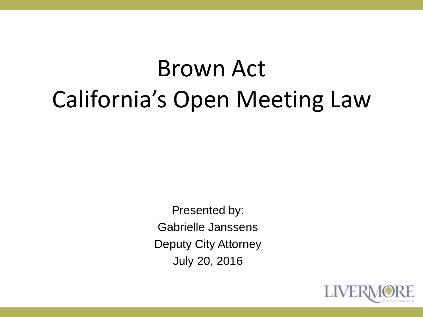# Brown Act California's Open Meeting Law

Presented by: Gabrielle Janssens Deputy City Attorney July 20, 2016

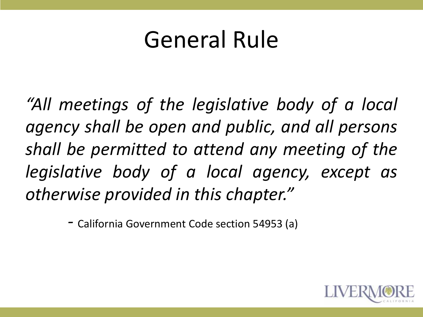#### General Rule

*"All meetings of the legislative body of a local agency shall be open and public, and all persons shall be permitted to attend any meeting of the legislative body of a local agency, except as otherwise provided in this chapter."*

*-* California Government Code section 54953 (a)

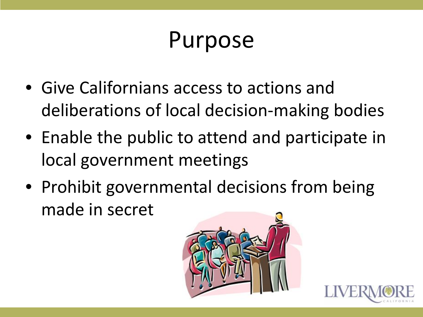#### Purpose

- Give Californians access to actions and deliberations of local decision-making bodies
- Enable the public to attend and participate in local government meetings
- Prohibit governmental decisions from being made in secret



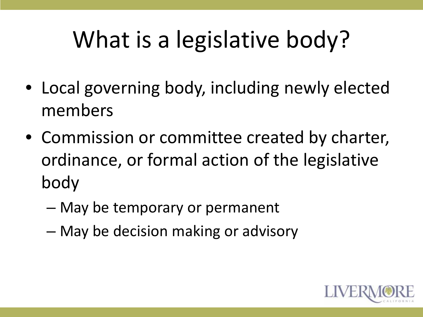## What is a legislative body?

- Local governing body, including newly elected members
- Commission or committee created by charter, ordinance, or formal action of the legislative body
	- May be temporary or permanent
	- May be decision making or advisory

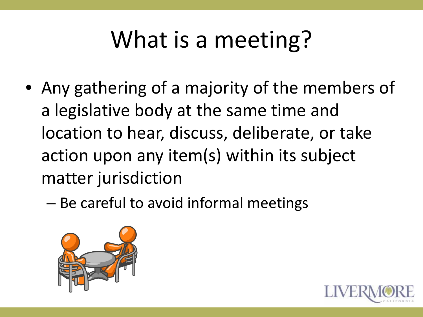## What is a meeting?

- Any gathering of a majority of the members of a legislative body at the same time and location to hear, discuss, deliberate, or take action upon any item(s) within its subject matter jurisdiction
	- Be careful to avoid informal meetings



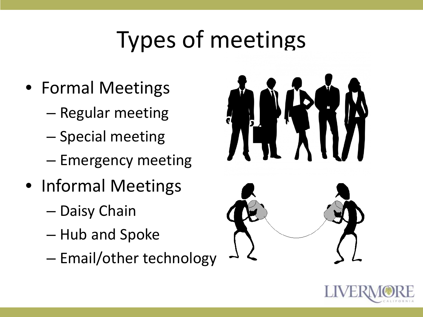## Types of meetings

- Formal Meetings
	- Regular meeting
	- Special meeting
	- Emergency meeting
- Informal Meetings
	- Daisy Chain
	- Hub and Spoke
	- Email/other technology



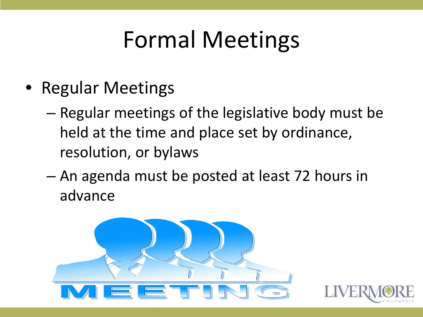## Formal Meetings

- Regular Meetings
	- Regular meetings of the legislative body must be held at the time and place set by ordinance, resolution, or bylaws
	- An agenda must be posted at least 72 hours in advance



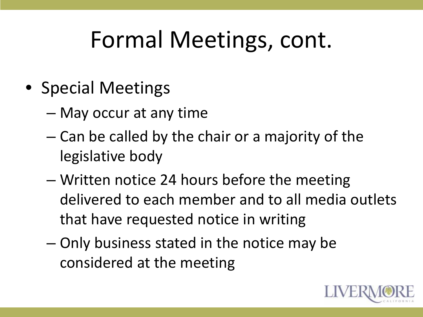#### Formal Meetings, cont.

- Special Meetings
	- May occur at any time
	- Can be called by the chair or a majority of the legislative body
	- Written notice 24 hours before the meeting delivered to each member and to all media outlets that have requested notice in writing
	- Only business stated in the notice may be considered at the meeting

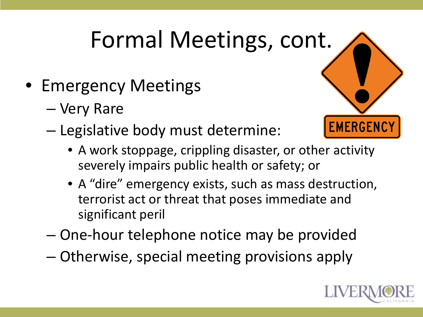## Formal Meetings, cont.

- Emergency Meetings
	- Very Rare
	- Legislative body must determine:
- **EMERGENCY** 
	- A work stoppage, crippling disaster, or other activity severely impairs public health or safety; or
	- A "dire" emergency exists, such as mass destruction, terrorist act or threat that poses immediate and significant peril
	- One-hour telephone notice may be provided
	- Otherwise, special meeting provisions apply

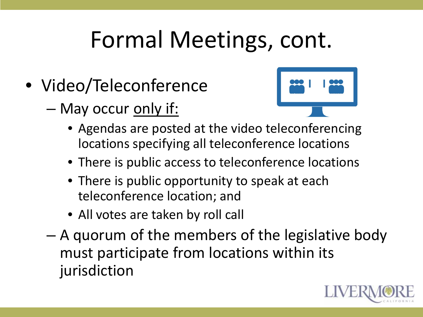#### Formal Meetings, cont.

- Video/Teleconference
	- May occur only if:



- Agendas are posted at the video teleconferencing locations specifying all teleconference locations
- There is public access to teleconference locations
- There is public opportunity to speak at each teleconference location; and
- All votes are taken by roll call
- A quorum of the members of the legislative body must participate from locations within its jurisdiction

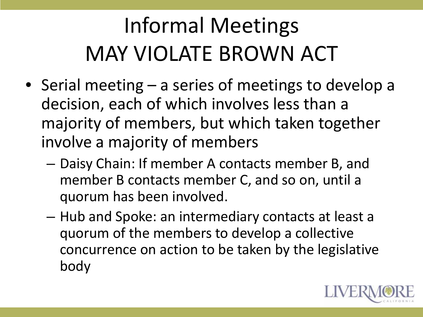## Informal Meetings MAY VIOLATE BROWN ACT

- Serial meeting a series of meetings to develop a decision, each of which involves less than a majority of members, but which taken together involve a majority of members
	- Daisy Chain: If member A contacts member B, and member B contacts member C, and so on, until a quorum has been involved.
	- Hub and Spoke: an intermediary contacts at least a quorum of the members to develop a collective concurrence on action to be taken by the legislative body

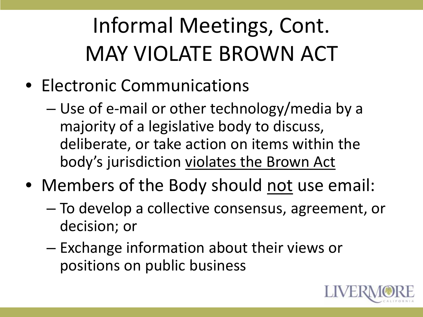### Informal Meetings, Cont. MAY VIOLATE BROWN ACT

- Electronic Communications
	- Use of e-mail or other technology/media by a majority of a legislative body to discuss, deliberate, or take action on items within the body's jurisdiction violates the Brown Act
- Members of the Body should not use email:
	- To develop a collective consensus, agreement, or decision; or
	- Exchange information about their views or positions on public business

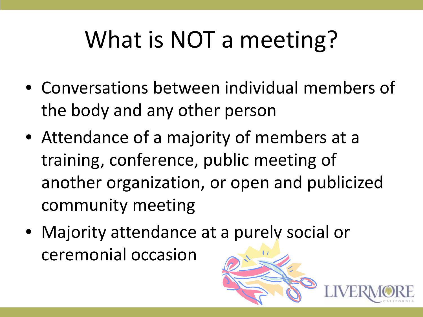## What is NOT a meeting?

- Conversations between individual members of the body and any other person
- Attendance of a majority of members at a training, conference, public meeting of another organization, or open and publicized community meeting
- Majority attendance at a purely social or ceremonial occasion

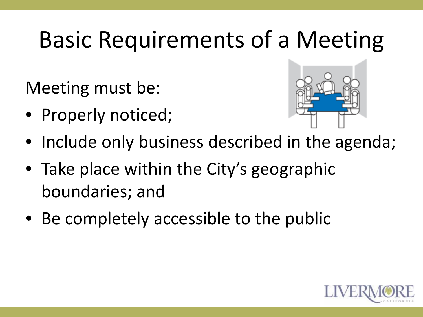## Basic Requirements of a Meeting

Meeting must be:

• Properly noticed;



- Include only business described in the agenda;
- Take place within the City's geographic boundaries; and
- Be completely accessible to the public

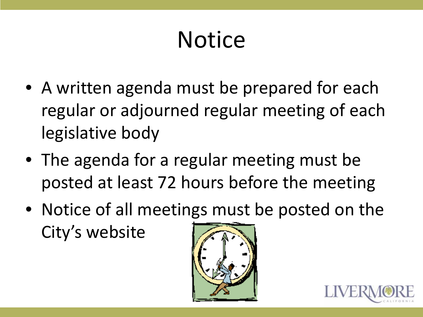## **Notice**

- A written agenda must be prepared for each regular or adjourned regular meeting of each legislative body
- The agenda for a regular meeting must be posted at least 72 hours before the meeting
- Notice of all meetings must be posted on the City's website



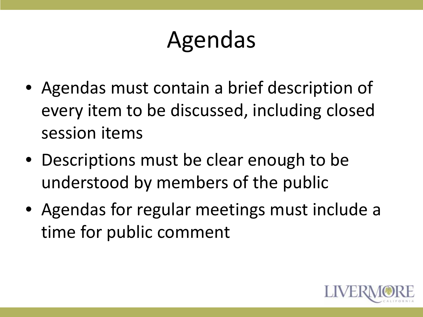## Agendas

- Agendas must contain a brief description of every item to be discussed, including closed session items
- Descriptions must be clear enough to be understood by members of the public
- Agendas for regular meetings must include a time for public comment

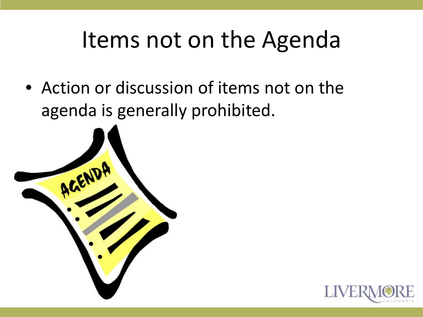#### Items not on the Agenda

• Action or discussion of items not on the agenda is generally prohibited.



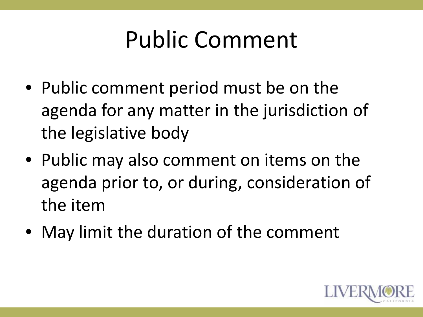### Public Comment

- Public comment period must be on the agenda for any matter in the jurisdiction of the legislative body
- Public may also comment on items on the agenda prior to, or during, consideration of the item
- May limit the duration of the comment

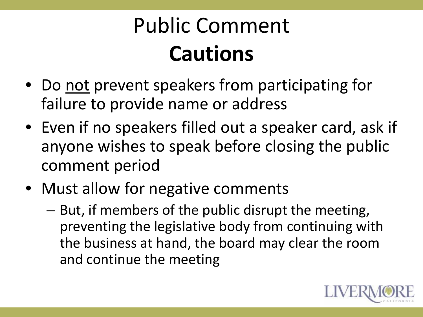### Public Comment **Cautions**

- Do not prevent speakers from participating for failure to provide name or address
- Even if no speakers filled out a speaker card, ask if anyone wishes to speak before closing the public comment period
- Must allow for negative comments
	- But, if members of the public disrupt the meeting, preventing the legislative body from continuing with the business at hand, the board may clear the room and continue the meeting

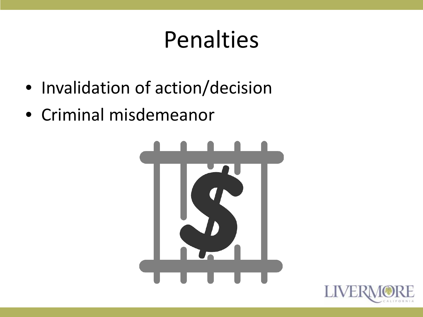#### Penalties

- Invalidation of action/decision
- Criminal misdemeanor